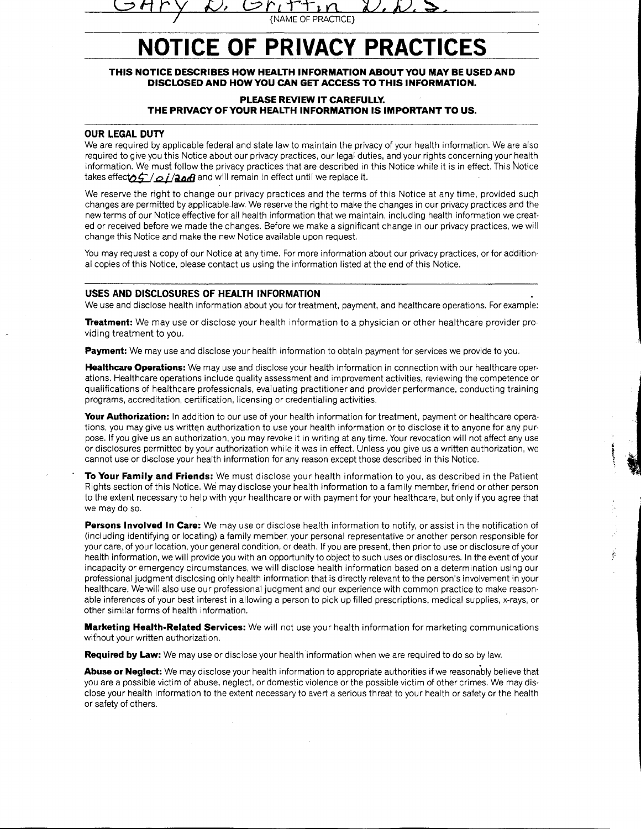

## **THIS NOTICE DESCRIBES HOW HEALTH INFORMATION ABOUT YOU MAY BE USED AND DISCLOSED AND HOW YOU CAN GET ACCESS TO THIS INFORMATION.**

### **PLEASE REVIEW IT CAREFULLY. THE PRIVACY OF YOUR HEALTH INFORMATION IS IMPORTANT TO US.**

#### **OUR LEGAL DUTY**

We are required by applicable federal and state law to maintain the privacy of your health information. We are also required to give you this Notice about our privacy practices, our legal duties, and your rights concerning your health information. We must follow the privacy practices that are described in this Notice while it is in effect. This Notice takes effectof101/2018 and will remain in effect until we replace it.

We reserve the right to change our privacy practices and the terms of this Notice at any time, provided such changes are permitted by applicable law. We reserve the right to make the changes in our privacy practices and the new terms of our Notice effective for all health information that we maintain, including health information we created or received before we made the changes. Before we make a significant change in our privacy practices, we will change this Notice and make the new Notice available upon request.

You may request a copy of our Notice at any time. For more information about our privacy practices, or for additional copies of this Notice, please contact us using the information listed at the end of this Notice.

#### **USES AND DISCLOSURES OF HEALTH INFORMATION**

We use and disclose health information about you for treatment, payment, and healthcare operations. For example:

**Treatment:** We may use or disclose your health information to a physician or other healthcare provider providing treatment to you.

Payment: We may use and disclose your health information to obtain payment for services we provide to you.

**Healthcare Operations:** We may use and disclose your health information in connection with our healthcare operations. Healthcare operations include quality assessment and improvement activities, reviewing the competence or qualifications of healthcare professionals, evaluating practitioner and provider performance, conducting training programs, accreditation, certification, licensing or credentialing activities.

**Your Authorization:** In addition to our use of your health information for treatment, payment or healthcare operations, you may give us written authorization to use your health information or to disclose it to anyone for any purpose. If you give us an authorization, you may revoke it in writing at any time. Your revocation will not affect any use or disclosures permitted by your authorization while it was in effect. Unless you give us a written authorization, we cannot use or disclose your health information for any reason except those described in this Notice.

•  $\left[ \begin{array}{cc} . & . \ . & . \ . & . \ . \end{array} \right]$ 

**To Your Family and Friends:** We must disclose your health information to you, as described in the Patient Rights section of this Notice. We may disclose your health information to a family member, friend or other person to the extent necessary to help with your healthcare or with payment for your healthcare, but only if you agree that we may do so.

**Persons Involved In Care:** We may use or disclose health information to notify, or assist in the notification of (including identifying or locating) a family member, your personal representative or another person responsible for your care, of your location, your general condition, or death. If you are present, then prior to use or disclosure of your health information, we will provide you with an opportunity to object to such uses or disclosures. In the event of your incapacity or emergency circumstances, we will disclose health information based on a determination using our professional judgment disclosing only health information that is directly relevant to the person's involvement in your healthcare. We will also use our professional judgment and our experience with common practice to make reasonable inferences of your best interest in allowing a person to pick up filled prescriptions, medical supplies, x-rays, or other similar forms of health information.

**Marketing Health-Related Services:** We will not use your health information for marketing communications wifhout your written authorization.

**Required by Law:** We may use or disclose your health information when we are required to do so by law.

**Abuse or Neglect:** We may disclose your health information to appropriate authorities if we reasonably believe that you are a possible victim of abuse, neglect, or domestic violence or the possible victim of other crimes. We may disclose your health information to the extent necessary to avert a serious threat to your health or safety or the health or safety of others.